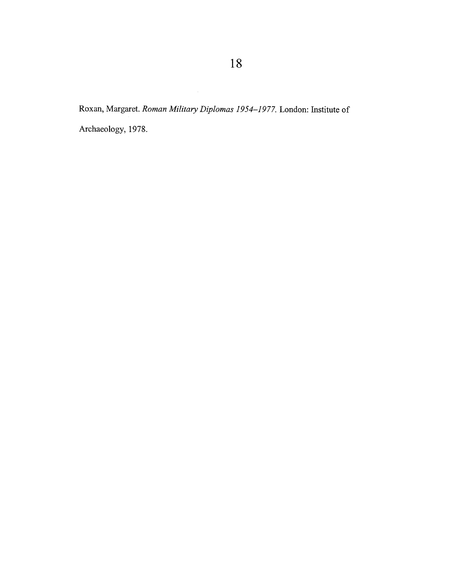Roxan, Margaret. *Roman Military Diplomas 1954-1977.* London: Institute of Archaeology, 1978.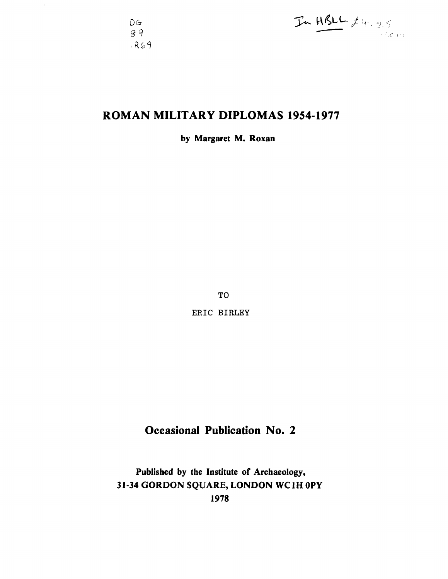$D G$  $89$  $R69$ 



# **ROMAN MILITARY DIPLOMAS 1954-1977**

**by Margaret M. Roxan** 

**TO ERIC BIRLEY** 

# **Occasional Publication No. 2**

**Published by the Institute of Archaeology, 3 1-34 GORDON SQUARE, LONDON WC lH OPY 1978**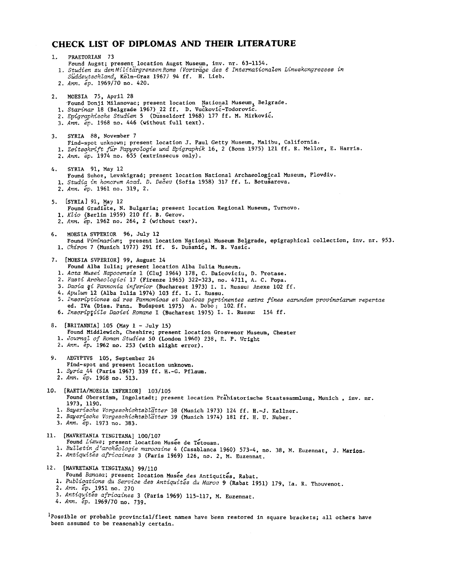## **CHECK LIST OF DIPLOMAS AND THEIR LITERATURE**

been assumed to be reasonably certain.

| ı. | PRAETORIAN 73<br>Found Augst; present location Augst Museum, inv. nr. 63-1154.<br>1. Studien zu den Militärgrenzen Roms (Vorträge des 6 Internationalen Limeskongresses in<br>Suddeutschland, Koln-Graz 1967) 94 ff. H. Lieb.<br>2. Ann. ep. 1969/70 no. 420.                                                                                                                                                                                                                                                                                                                                                                 |
|----|-------------------------------------------------------------------------------------------------------------------------------------------------------------------------------------------------------------------------------------------------------------------------------------------------------------------------------------------------------------------------------------------------------------------------------------------------------------------------------------------------------------------------------------------------------------------------------------------------------------------------------|
| 2. | MOESIA 75, April 28<br>Found Donji Milanovac; present location National Museum, Belgrade.<br>1. Starinar 18 (Belgrade 1967) 22 ff. D. Vuckovic-Todorovic.<br>2. Epigraphische Studien 5 (Dusseldorf 1968) 177 ff. M. Mirkovic.<br>3. Ann. ep. 1968 no. 446 (without full text).                                                                                                                                                                                                                                                                                                                                               |
| з. | SYRIA 88, November 7<br>Find-spot unknown; present location J. Paul Getty Museum, Malibu, California.<br>1. Zeitschrift für Papyrologie und Epigraphik 16, 2 (Bonn 1975) 121 ff. R. Mellor, E. Harris.<br>2. Ann. ep. 1974 no. 655 (extrinsecus only).                                                                                                                                                                                                                                                                                                                                                                        |
| 4. | SYRIA 91, May 12<br>Found Suhoz, Levskigrad; present location National Archaeological Museum, Plovdiv.<br>1. Studia in honorem Acad. D. Dečev (Sofia 1958) 317 ff. L. Botušarova.<br>2. Ann. ép. 1961 no. 319, 2.                                                                                                                                                                                                                                                                                                                                                                                                             |
|    | 5. ISYRIAJ 91, May 12<br>Found Gradiste, N. Bulgaria; present location Regional Museum, Turnovo.<br>1. Klio (Berlin 1959) 210 ff. B. Gerov.<br>2. Ann. ep. 1962 no. 264, 2 (without text).                                                                                                                                                                                                                                                                                                                                                                                                                                    |
| 6. | MOESIA SVPERIOR 96, July 12<br>Found Viminacium; present location National Museum Belgrade, epigraphical collection, inv. nr. 953.<br>1. <i>Chiron</i> 7 (Munich 1977) 291 ff. S. Dusanic, M. R. Vasic.                                                                                                                                                                                                                                                                                                                                                                                                                       |
|    | 7. [MOESIA SVPERIOR] 99, August 14<br>Found Alba Iulia; present location Alba Iulia Museum.<br>1. Acta Musei Napocensis 1 (Cluj 1964) 178, C. Daicoviciu, D. Protase.<br>2. Fasti Archeologici 17 (Firenze 1965) 322-323, no. 4711, A. C. Popa.<br>3. Dacia gi Pannonia inferior (Bucharest 1973) I. I. Russu: Anexe 102 ff.<br>4. Apulum 12 (Alba Iulia 1974) 103 ff. I. I. Russu.<br>5. Inscriptiones ad res Pannonicas et Dacicas pertinentes extra fines earundem provinciarum repertae<br>ed. IVa (Diss. Pann. Budapest 1975) A. Dobo: 102. ff.<br>6. Inscripțiile Daciei Romane I (Bucharest 1975) I. I. Russu: 154 ff. |
|    | 8. [BRITANNIA] 105 (May 1 - July 15)<br>Found Middlewich, Cheshire; present location Grosvenor Museum, Chester<br>1. Journal of Roman Studies 50 (London 1960) 238, R. P. Wright<br>2. Ann. ep. 1962 no. 253 (with slight error).                                                                                                                                                                                                                                                                                                                                                                                             |
| 9. | AEGYPTVS 105, September 24<br>Find-spot and present location unknown.<br>1. Syria 44 (Paris 1967) 339 ff. H.-G. Pflaum.<br>2. Ann. ép. 1968 no. 513.                                                                                                                                                                                                                                                                                                                                                                                                                                                                          |
|    | 10. [RAETIA/MOESIA INFERIOR] 103/105<br>Found Oberstimm, Ingolstadt; present location Prahistorische Staatssammlung, Munich, inv. nr.<br>1973, 1190.<br>1. Bayerische Vorgeschichtsblätter 38 (Munich 1973) 124 ff. H.-J. Kellner.<br>2. Bayerische Vorgeschichtsblätter 39 (Munich 1974) 181 ff. H. U. Nuber.<br>3. Ann. ep. 1973 no. 383.                                                                                                                                                                                                                                                                                   |
|    | 11. [MAVRETANIA TINGITANA] 100/107<br>Found Lixus; present location Musee de Tetouan.<br>1. Bulletin d'archéologie marocaine 4 (Casablanca 1960) 573-4, no. 38, M. Euzennat, J. Marion.<br>2. Antiquités africaines 3 (Paris 1969) 126, no. 2, M. Euzennat.                                                                                                                                                                                                                                                                                                                                                                   |
|    | 12. [MAVRETANIA TINGITANA] 99/110<br>Found Banasa; present location Musée des Antiquités, Rabat.<br>1. Publications du Service des Antiquités du Maroc 9 (Rabat 1951) 179, Ia. R. Thouvenot.<br>2. Ann. ép. 1951 no. 270<br>3. Antiquités africaines 3 (Paris 1969) 115-117, M. Euzennat.<br>4. Ann. ép. 1969/70 no. 739.                                                                                                                                                                                                                                                                                                     |
|    | <sup>1</sup> Possible or probable provincial/fleet names have been restored in square brackets; all others have                                                                                                                                                                                                                                                                                                                                                                                                                                                                                                               |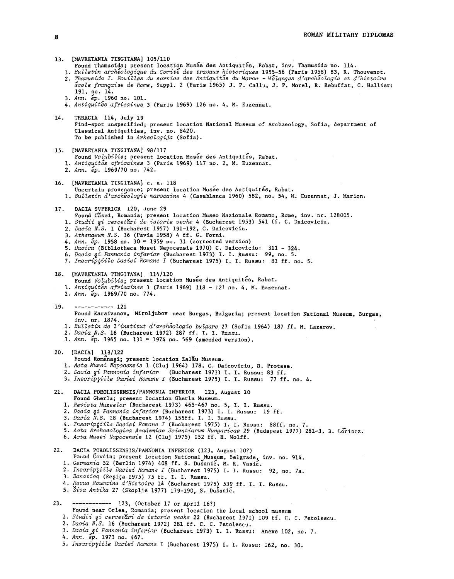| 13. [MAVRETANIA TINGITANA] 105/110<br>Found Thamusida; present location Musée des Antiquités, Rabat, inv. Thamusida no. 114.<br>1. Bulletin archeologique du Comité des travaux historiques 1955-56 (Paris 1958) 83, R. Thouvenot.<br>2. Thamusida I. Fouilles du service des Antiquités du Maroc - Mélanges d'archéologie et d'histoire<br>école française de Rome, Suppl. 2 (Paris 1965) J. P. Callu, J. P. Morel, R. Rebuffat, G. Hallier:<br>191, no. 14.<br>3. Ann. ép. 1960 no. 101.<br>4. Antiquités africaines 3 (Paris 1969) 126 no. 4, M. Euzennat.                                                                          |
|----------------------------------------------------------------------------------------------------------------------------------------------------------------------------------------------------------------------------------------------------------------------------------------------------------------------------------------------------------------------------------------------------------------------------------------------------------------------------------------------------------------------------------------------------------------------------------------------------------------------------------------|
| 14.<br>THRACIA 114, July 19<br>Find-spot unspecified; present location National Museum of Archaeology, Sofia, department of<br>Classical Antiquities, inv. no. 8420.<br>To be published in Arheologija (Sofia).                                                                                                                                                                                                                                                                                                                                                                                                                        |
| 15. [MAVRETANIA TINGITANA] 98/117<br>Found Volubilis; present location Musee des Antiquites, Rabat.<br>1. Antiquités africaines 3 (Paris 1969) 117 no. 2, M. Euzennat.<br>2. Ann. ép. 1969/70 no. 742.                                                                                                                                                                                                                                                                                                                                                                                                                                 |
| [MAVRETANIA TINGITANA] c. a. 118<br>16.<br>Uncertain provenance; present location Musee des Antiquités, Rabat.<br>1. Bulletin d'archéologie marocaine 4 (Casablanca 1960) 582, no. 54, M. Euzennat, J. Marion.                                                                                                                                                                                                                                                                                                                                                                                                                         |
| DACIA SVPERIOR 120, June 29<br>17.<br>Found Casei, Romania; present location Museo Nazionale Romano, Rome, inv. nr. 128005.<br>1. Studii și cercetări de istorie veche 4 (Bucharest 1953) 541 ff. C. Daicoviciu.<br>2. Dacia N.S. 1 (Bucharest 1957) 191-192, C. Daicoviciu.<br>3. Athenaeum N.S. 36 (Pavia 1958) 4 ff. G. Forni.<br>4. Ann. $ep. 1958$ no. $30 = 1959$ no. 31 (corrected version)<br>5. Dacica (Bibliotheca Musei Napocensis 1970) C. Daicoviciu: 311 - 324.<br>6. Dacia și Pannonia inferior (Bucharest 1973) I. I. Russu: 99, no. 5.<br>7. Inscriptiile Daciei Romane I (Bucharest 1975) I. I. Russu: 81 ff. no. 5. |
| 18. [MAVRETANIA TINGITANA] 114/120<br>Found Volubilis; present location Musee des Antiquités, Rabat.<br>1. Antiquités africaines 3 (Paris 1969) 118 - 121 no. 4, M. Euzennat.<br>2. Ann. ép. 1969/70 no. 774.                                                                                                                                                                                                                                                                                                                                                                                                                          |
| $--------- 121$<br>19.<br>Found Karaivanov, Miroljubov near Burgas, Bulgaria; present location National Museum, Burgas,<br>inv. nr. 1874.<br>1. Bulletin de l'institut d'archéologie bulgare 27 (Sofia 1964) 187 ff. M. Lazarov.<br>2. Dacia N.S. 16 (Bucharest 1972) 287 ff. I. I. Russu.<br>3. $\text{Ann.}$ $\epsilon p$ . 1965 no. 131 = 1974 no. 569 (amended version).                                                                                                                                                                                                                                                           |
| 20. [DACIA] 118/122<br>Found Romanasi; present location Zalau Museum.<br>1. Acta Musei Napocensis 1 (Cluj 1964) 178, C. Daicoviciu, D. Protase.<br>2. Dacia și Pannonia inferior (Bucharest 1973) I. I. Russu: 83 ff.<br>3. Inscriptiile Daciei Romane I (Bucharest 1975) I. I. Russu: 77 ff. no. 4.                                                                                                                                                                                                                                                                                                                                   |
| 21.<br>DACIA POROLISSENSIS/PANNONIA INFERIOR 123, August 10<br>Found Gherla; present location Gherla Museum.<br>1. Revista Muzeelor (Bucharest 1973) 465-467 no. 5, I. I. Russu.<br>2. Dacia și Pannonia inferior (Bucharest 1973) I. I. Russu: 19 ff.<br>3. Dacia N.S. 18 (Bucharest 1974) 155ff. I. I. Russu.<br>4. Inscriptiile Daciei Romane I (Bucharest 1975) I. I. Russu: 88ff. no. 7.<br>5. Acta Archaeologica Academiae Scientiarum Hungaricae 29 (Budapest 1977) 281-3, B. Lorincz.<br>6. Acta Musei Napocensis 12 (Cluj 1975) 152 ff. H. Wolff.                                                                             |
| 22.<br>DACIA POROLISSENSIS/PANNONIA INFERIOR (123, August 10?)<br>Found Covdin; present location National Museum, Belgrade, inv. no. 914.<br>1. Germania 52 (Berlin 1974) 408 ff. S. Dusanic, M. R. Vasic.<br>2. Inscripțiile Daciei Romane I (Bucharest 1975) I. I. Russu: 92, no. 7a.<br>3. Banatica (Reşita 1975) 75 ff. I. I. Russu.<br>4. Revue Roumaine d'Histoire 14 (Bucharest 1975) 539 ff. I. I. Russu.<br>5. Živa Antika 27 (Skoplje 1977) 179-190, S. Dusanić.                                                                                                                                                             |
| 23.<br>$--------- 123, (October 17 or April 16?)$<br>Found near Orlea, Romania; present location the local school museum<br>1. Studii și cercetări de istorie veche 22 (Bucharest 1971) 109 ff. C. C. Petolescu.<br>2. Dacia N.S. 16 (Bucharest 1972) 281 ff. C. C. Petolescu.<br>3. Dacia și Pannonia inferior (Bucharest 1973) I. I. Russu: Anexe 102, no. 7.                                                                                                                                                                                                                                                                        |

4. *Ann. ep.* 1973 no. 467.

5. *Inscriptiile Daciei Romane* I (Bucharest *1975)* I. I. Russu: 162, no. 30.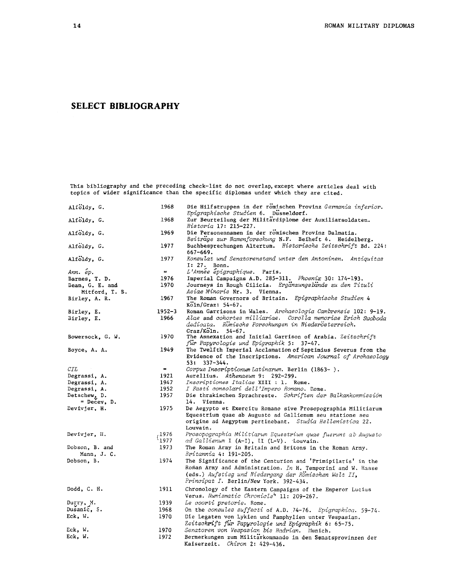### **SELECT BIBLIOGRAPHY**

This bibliography and the precedi topics of wider significance than ng check-list do not overlap,except where articles deal with the specific diplomas under which they are cited.

| Alfoldy, G.                               | 1968                 | Die Hilfstruppen in der romischen Provinz Germania inferior.<br>Epigraphische Studien 6. Dusseldorf.                                                                                                                          |
|-------------------------------------------|----------------------|-------------------------------------------------------------------------------------------------------------------------------------------------------------------------------------------------------------------------------|
| Alfoldy, G.                               | 1968                 | Zur Beurteilung der Militardiplome der Auxiliarsoldaten.<br>Historia 17: 215-227.                                                                                                                                             |
| Alfoldy, G.                               | 1969                 | Die Personennamen in der romischen Provinz Dalmatia.<br>Beitrage zur Namenforschung N.F. Beiheft 4. Heidelberg.                                                                                                               |
| Alfoldy, G.                               | 1977                 | Buchbesprechungen Altertum. Historische Zeitschrift Bd. 224:<br>$667 - 669.$                                                                                                                                                  |
| Alfoldy, G.                               | 1977                 | Konsulat und Senatorenstand unter den Antoninen. Antiquitas<br>I: 27. Bonn.                                                                                                                                                   |
| Ann. ép.                                  | $=$                  | L'Annee epigraphique. Paris.                                                                                                                                                                                                  |
| Barnes, T. D.                             | 1976                 | Imperial Campaigns A.D. 285-311. Phoenix 30: 174-193.                                                                                                                                                                         |
| Bean, G. E. and                           | 1970                 | Journeys in Rough Cilicia. Erganzungsbande zu den Tituli                                                                                                                                                                      |
| Mitford, T. B.                            |                      | Asiae Minoris Nr. 3. Vienna.                                                                                                                                                                                                  |
| Birley, A. R.                             | 1967                 | The Roman Governors of Britain. Epigraphische Studien 4                                                                                                                                                                       |
|                                           |                      | $K\ddot{o}$ ln/Graz: 54-67.                                                                                                                                                                                                   |
| Birley, E.                                | $1952 - 3$           | Roman Garrisons in Wales. Archaeologia Cambrensis 102: 9-19.                                                                                                                                                                  |
| Birley, E.                                | 1966                 | Alae and cohortes milliariae. Corolla memoriae Erich Swoboda<br>dedicata. Romische Forschungen in Niederösterreich.<br>Graz/Köln.<br>$54 - 67.$                                                                               |
| Bowersock, G. W.                          | 1970                 | The Annexation and Initial Garrison of Arabia. Zeitschrift<br>fur Papyrologie und Epigraphik 5: 37-47.                                                                                                                        |
| Boyce, A. A.                              | 1949                 | The Twelfth Imperial Acclamation of Septimius Severus from the                                                                                                                                                                |
|                                           |                      | Evidence of the Inscriptions. American Journal of Archaeology<br>53: 337-344.                                                                                                                                                 |
| CIL                                       | $\mathbf{m}$ .       | Corpus Inscriptionum Latinarum. Berlin (1863-).                                                                                                                                                                               |
| Degrassi, A.                              | 1921                 | Aurellius. Athenaeum 9: 292-299.                                                                                                                                                                                              |
| Degrassi, A.                              | 1947                 | Inscriptiones Italiae XIII : 1. Rome.                                                                                                                                                                                         |
| Degrassi, A.                              | 1952                 | I Fasti consolari dell'Impero Romano. Rome.                                                                                                                                                                                   |
| Detschew <sub>2</sub> D.<br>$=$ Decey, D. | 1957                 | Die thrakischen Sprachreste. Schriften der Balkankommission<br>14. Vienna.                                                                                                                                                    |
| Devivjer, H.                              | 1975                 | De Aegypto et Exercitu Romano sive Prosopographia Militiarum<br>Equestrium quae ab Augusto ad Gallienum seu statione seu<br>origine ad Aegyptum pertinebant. Studia Hellenistica 22.<br>Louvain.                              |
| Devivjer, H.                              | ,1976                | Prosopographia Militiarum Equestrium quae fuerunt ab Augusto                                                                                                                                                                  |
|                                           | $^{\backprime}$ 1977 | ad Gallienum I (A-I), II (L-V). Louvain.                                                                                                                                                                                      |
| Dobson, B. and<br>Mann, J. C.             | 1973                 | The Roman Army in Britain and Britons in the Roman Army.<br><u> Britannia 4: 191–205.</u>                                                                                                                                     |
| Dobson, B.                                | 1974                 | The Significance of the Centurion and 'Primipilaris' in the<br>Roman Army and Administration. In H. Temporini and W. Haase<br>(eds.) Aufstieg und Niedergang der Romischen Welt II,<br>Principat I. Berlin/New York. 392-434. |
| Dodd, C. H.                               | 1911                 | Chronology of the Eastern Campaigns of the Emperor Lucius<br>Verus. Numismatic Chronicle <sup>4</sup> 11: 209-267.                                                                                                            |
| Durry, M.                                 | 1939                 | Le coorti pretorie. Rome.                                                                                                                                                                                                     |
| Dusanic, S.                               | 1968                 | On the consules suffecti of A.D. 74-76. Epigraphica. 59-74.                                                                                                                                                                   |
| Eck, W.                                   | 1970                 | Die Legaten von Lykien und Pamphylien unter Vespasian.                                                                                                                                                                        |
|                                           |                      | Zeitschrift für Papyrologie und Epigraphik 6: 65-75.                                                                                                                                                                          |
| Eck, W.                                   | 1970                 | Senatoren von Vespasian bis Hadrian. Munich.                                                                                                                                                                                  |
| Eck, W.                                   | 1972                 | Bermerkungen zum Militarkommando in den Senatsprovinzen der                                                                                                                                                                   |
|                                           |                      | Kaiserzeit. Chiron 2: 429-436.                                                                                                                                                                                                |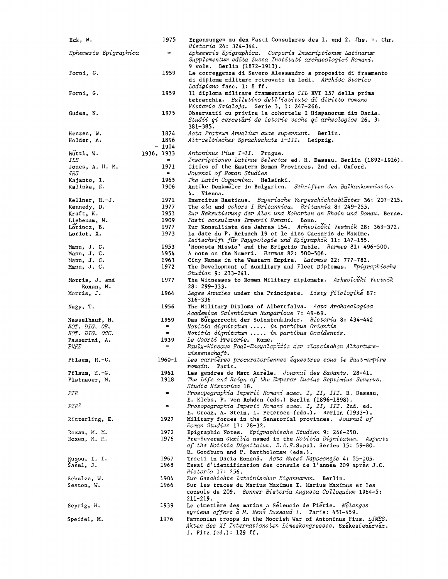| Eck, W.                                       | 1975                          | Erganzungen zu den Fasti Consulares des 1. und 2. Jhs. n. Chr.<br>Historia 24: 324-344.                                                                                            |
|-----------------------------------------------|-------------------------------|------------------------------------------------------------------------------------------------------------------------------------------------------------------------------------|
| Ephemeris Epigraphica                         | $\equiv$                      | Ephemeris Epigraphica. Corporis Inscriptionum Latinarum<br>Supplementum edita iussa Instituti archaeologici Romani.                                                                |
|                                               |                               | 9 vols. Berlin (1872-1913).                                                                                                                                                        |
| Forni, G.                                     | 1959                          | La correggenza di Severo Alessandro a proposito di frammento<br>di diploma militare retrovato in Lodi. Archivo Storico<br>Lodigiano fasc. 1: 8 ff.                                 |
| Forni, G.                                     | 1959                          | Il diploma militare frammentario CIL XVI 157 della prima<br>tetrarchia. Bulletino dell'istituto di diritto romano                                                                  |
|                                               |                               | Vittorio Scialoja. Serie 3, 1: 247-266.                                                                                                                                            |
| Gudea, N.                                     | 1975                          | Observatii cu privire la cohortele I Hispanorum din Dacia.<br>Studii și cercetări de istorie veche și arheologice 26, 3:<br>$381 - 385.$                                           |
| Henzen, W.                                    | 1874                          | Acta Fratrum Arvalium quae supersunt. Berlin.                                                                                                                                      |
| Holder, A.                                    | 1896                          | Alt-celtischer Sprachschatz I-III. Leipzig.                                                                                                                                        |
|                                               | - 1914                        |                                                                                                                                                                                    |
| Huttl, W.                                     | 1936, 1933                    | Antoninus Pius I-II. Prague.                                                                                                                                                       |
| ILS<br>Jones, A. H. M.<br>JRS                 | $\blacksquare$<br>1971<br>$=$ | Inscriptiones Latinae Selectae ed. H. Dessau. Berlin (1892-1916).<br>Cities of the Eastern Roman Provinces. 2nd ed. Oxford.<br>Journal of Roman Studies                            |
| Kajanto, I.                                   | 1965                          | The Latin Cognomina.  Helsinki.                                                                                                                                                    |
| Kalinka, E.                                   | 1906                          | Antike Denkmaler in Bulgarien. Schriften den Balkankommission<br>4. Vienna.                                                                                                        |
| Kellner, H.-J.                                | 1971                          | Exercitus Raeticus. Bayerische Vorgeschichtsblätter 36: 207-215.                                                                                                                   |
| Kennedy, D.                                   | 1977                          | The ala and cohors I Britannica. Britannia 8: 249-255.                                                                                                                             |
| Kraft, K.                                     | 1951                          | Zur Rekrutierung der Alen und Kohorten an Rhein und Donau. Berne.                                                                                                                  |
| Liebenam, W.                                  | 1909                          | Fasti consulares Imperii Romani. Bonn.                                                                                                                                             |
| Lorincz, B.                                   | 1977                          | Zur Konsulliste des Jahres 154. Arheoloski Vestnik 28: 369-372.                                                                                                                    |
| Loriot, X.                                    | 1973<br>1953                  | La date du P. Reinach 19 et le dies Caesaris de Maxime.<br>Zeitschrift für Papyrologie und Epigraphik 11: 147-155.<br>'Honesta Missio' and the Brigetio Table. Hermes 81: 496-500. |
| Mann, J. C.<br>Mann, J. C.                    | 1954                          | A note on the Numeri. Hermes 82: 500-506.                                                                                                                                          |
| Mann, J. C.                                   | 1963                          | City Names in the Western Empire. Latomus 22: 777-782.                                                                                                                             |
| Mann, J. C.                                   | 1972                          | The Development of Auxiliary and Fleet Diplomas. Epigraphische<br>Studien 9: 233-241.                                                                                              |
| Morris, J. and<br>Roxan, M.                   | 1977                          | The Witnesses to Roman Military diplomata. Arheoloski Vestnik<br>$28: 299 - 333.$                                                                                                  |
| Morris, J.                                    | 1964                          | Leges Annales under the Principate. Listy filologike 87:<br>$316 - 336$                                                                                                            |
| Nagy, T.                                      | 1956                          | The Military Diploma of Albertfalva. Acta Archaeologica<br>Academiae Scientiarum Hungaricae 7: 49-69.                                                                              |
| Nesselhauf, H.                                | 1959<br>$=$                   | Das Burgerrecht der Soldatenkinder. Historia 8: 434-442                                                                                                                            |
| <i>NOT. DIG. OR.</i><br><i>NOT. DIG. OCC.</i> | $\equiv$ .                    | Notitia dignitatum  in partibus Orientis<br>Notitia dignitatum  in partibus Occidentis.                                                                                            |
| Passerini, A.                                 | 1939                          | Le Coorti Pretorie. Rome.                                                                                                                                                          |
| <i>PWRE</i>                                   | $=$                           | Pauly-Wissowa Real-Encyclopadie der classischen Altertums-<br>$w$ issenschaft.                                                                                                     |
| Pflaum, H.-G.                                 | 1960-1                        | Les carrières procuratoriennes équestres sous le Haut-empire<br>romain. Paris.                                                                                                     |
| Pflaum, H.-G.                                 | 1961                          | Les gendres de Marc Aurèle. Journal des Savants. 28-41.                                                                                                                            |
| Platnauer, M.                                 | 1918                          | The Life and Reign of the Emperor Lucius Septimius Severus.<br>Studia Historica 18.                                                                                                |
| <i>PIR</i>                                    | $\equiv$                      | Prosopographia Imperii Romani saec. I, II, III. H. Dessau,<br>E. Klebs, P. von Rohden (eds.) Berlin (1896-1898).                                                                   |
| PIR <sup>2</sup>                              | $=$                           | Prosopographia Imperii Romani saec. I, II, III. 2nd. ed.<br>E. Groag, A. Stein, L. Petersen (eds.). Berlin (1933-).                                                                |
| Ritterling, E.                                | 1927                          | Military forces in the Senatorial provinces. Journal of<br>Roman Studies 17: 28-32.                                                                                                |
| Roxan, M. M.                                  | 1972                          | Epigraphic Notes. Epigraphische Studien 9: 246-250.                                                                                                                                |
| Roxan, M. M.                                  | 1976                          | Pre-Severan auxilia named in the Notitia Dignitatum. Aspects<br>of the Notitia Dignitatum. B.A.R.Suppl. Series 15: 59-80.<br>R. Goodburn and P. Bartholomew (eds.).                |
| Russu, I. I.                                  | 1967                          | Tracii in Dacia Romaná. Acta Musei Napocensis 4: 35-105.                                                                                                                           |
| Šašel, J.                                     | 1968                          | Essai d'identification des consuls de l'année 209 après J.C.<br>Historia 17: 256.                                                                                                  |
| Schulze, W.                                   | 1904                          | Zur Geschichte lateinischer Eigennamen. Berlin.                                                                                                                                    |
| Seston, W.                                    | 1966                          | Sur les traces du Marius Maximus I. Marius Maximus et les<br>consuls de 209. Bonner Historia Augusta Colloquium 1964-5:                                                            |
|                                               |                               | $211 - 219.$                                                                                                                                                                       |
| Seyrig, H.                                    | 1939                          | Le cimetière des marins a Séleucie de Pierie. Melanges<br>syriens offert a M. Rene Dussaud' I. Paris: 451-459.                                                                     |
| Speidel, M.                                   | 1976                          | Pannonian troops in the Moorish War of Antoninus Pius. LIMES.<br>Akten des XI Internationalen Limeskongresses. Szekesfehervár.<br>J. Fitz. (ed.): 129 ff.                          |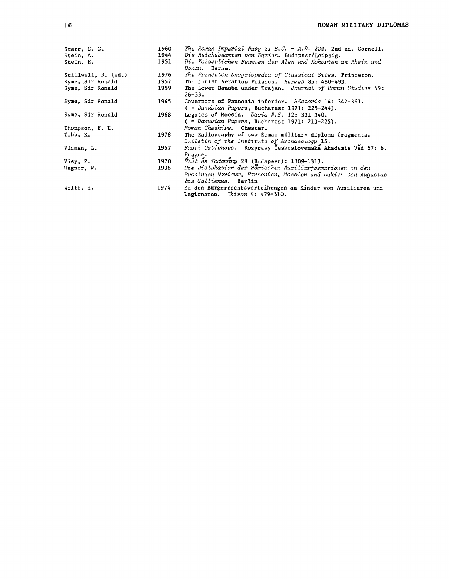| Starr, C. G.<br>Stein, A.<br>Stein, E. | 1960<br>1944<br>1951 | The Roman Imperial Navy 31 B.C. - A.D. 324. 2nd ed. Cornell.<br>Die Reichsbeamten von Dazien. Budapest/Leipzig.<br>Die Kaiserlichen Beamten der Alen und Kohorten an Rhein und<br>Donau, Berne. |
|----------------------------------------|----------------------|-------------------------------------------------------------------------------------------------------------------------------------------------------------------------------------------------|
| Stillwell, $R.$ (ed.)                  | 1976                 | The Princeton Encyclopedia of Classical Sites. Princeton.                                                                                                                                       |
| Syme, Sir Ronald                       | 1957                 | The jurist Neratius Priscus. Hermes 85: 480-493.                                                                                                                                                |
| Syme, Sir Ronald                       | 1959                 | The Lower Danube under Trajan. Journal of Roman Studies 49:<br>$26 - 33.$                                                                                                                       |
| Syme, Sir Ronald                       | 1965                 | Governors of Pannonia inferior. Historia 14: 342-361.<br>$($ = Danubian Papers, Bucharest 1971: 225-244).                                                                                       |
| Syme, Sir Ronald                       | 1968                 | Legates of Moesia. Dacia N.S. 12: 331-340.<br>$($ = Danubian Papers, Bucharest 1971: 213-225).                                                                                                  |
| Thompson, F. H.                        |                      | Roman Cheshire. Chester.                                                                                                                                                                        |
| Tubb. K.                               | 1978                 | The Radiography of two Roman military diploma fragments.<br>Bulletin of the Institute of Archaeology 15.                                                                                        |
| Vidman, L.                             | 1957                 | Fasti Ostienses. Rozpravy Československé Akademie Věd 67: 6.<br>Prague.                                                                                                                         |
| Visy, 2.                               | 1970                 | $Elet$ es Todomany 28 (Budapest): 1309-1313.                                                                                                                                                    |
| Wagner, W.                             | 1938                 | Die Dislokation der romischen Auxiliarformationen in den<br>Provinzen Noricum, Pannonien, Moesien und Dakien von Augustus<br>bis Gallienus. Berlin                                              |
| Wolff. H.                              | 1974                 | Zu den Bürgerrechtsverleihungen an Kinder von Auxiliaren und<br>Legionaren. Chiron 4: 479-510.                                                                                                  |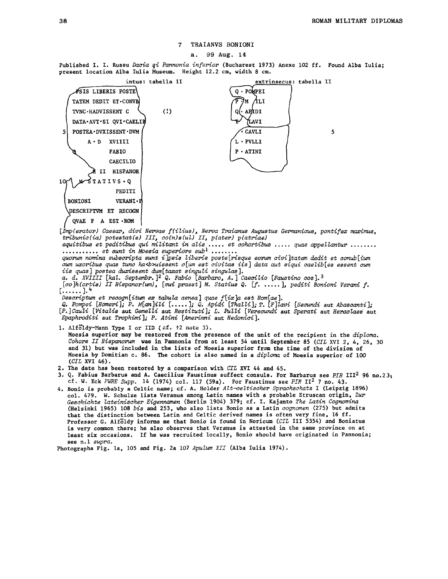### 7 TRAIANVS BONIONI

#### **a.** 99 **Aug. 14**

Published I. I. Russu *&cia gi Pannonia inferior* (Bucharest 1973) Anexe 102 ff. Found Alba Iulia; present location Alba Iulia Museum. Height 12.2 cm, width **8** cm.



equitibus et peditibus qui militant in alis ..... et cohortibus ..... quae appellantur ........<br>........... et sunt in Moesia superiore sub<sup>1</sup> ........<br>quorum nomina subscripta sunt i]psis liberis poste[risque eorum civi] iis quas] postea duxissent dum[taxat singuli singulas].<br>a. d. XVIIII [kal. Septembr.]<sup>2</sup> Q. Fabio [Barbaro, A.] Caecilio [Faustino cos].<sup>3</sup>

*[co]h (ortis)* 11 *Hispanor(wd, [eui praest ] M. Statius Q.* [f. . . . . . 1, *pediti Bonioni Verani* **f.** 'I **<sup>h</sup>L** ...... **J.'** 

[......].<br>Descriptum et recogn[itum ex tabula aenea] quae f[ix]a est Rom[ae].<br>Q. Pompei [Homeri]; P. M[an]ili [.....]; Q. Apidi [Thalli]; T. [F]lavi [Secundi aut Abascanti];<br>[P.]Cauli [Vitalis aut Gemelli aut Restituti]; L *Epaphroditi* aut *Trophimi]; P. Atini [Amerimni* aut *Hedonici 1.* 

**1. ~?f~13;-?"&~ 'PJ-pe I ar IID** ( **cf. i2 note 3).** 

Moesia superior may be restored from the presence of the unit of the recipient in the *diptoma. Cohors* 11 *Hispanonun* was in Pannonia from at least 54 until September 85 *(CIL* XVI 2, 4, 26, 30 and 31) but was included in the lists of Moesia superior from the time of the division of Moesia by Domitian **c.** 86. The cohort is also named in a *diploma* of Moesia superior of 100 (CIL XVI 46).

- 2. The date has been restored by a comparison with CIL XVI 44 and 45.
- Q. Fabius Barbarus and A. Caecilius Faustinus suffect consuls. For Barbarus see PIR III<sup>2</sup> 96 no.23; cf. **W.** Eck PWRE *Supp.* 14 (1974) col. 117 (59a). For Faustinus see *PIR* 11~ 7 no. 43.
- 4. Bonio is probably a Celtic name; cf. A. Holder *AZt-celtischer Sprachschatz* I (Leipzig 1896) col. 479. W. Schulze lists Veranus among Latin names with a probable Etruscan origin, *Zur Geschichte Zateinischer Eigenmen* (Berlin 1904) 379; cf. I. Kajanto *The Latin Cognomina*  (Helsinki 1965) 108 *bis* and 253, who also lists Bonio as a Latin *cognomen* (275) but admits that the distinction between Latin and Celtic derived names is often very fine, 16 ff. Professor G. Alfgldy informs me that Bonio is found in Noricum (CIL 111 5354) and Boniatus is very common there; he also observes that Veranus is attested in the same province on at least six occasions. If he was recruited locally, Bonio should have originated in Pannonia; see n.1 *supra.*

Photographs Fig. la, 105 and Fig. 2a 107 *ApuZwn* XI1 (Alba Iulia 1974).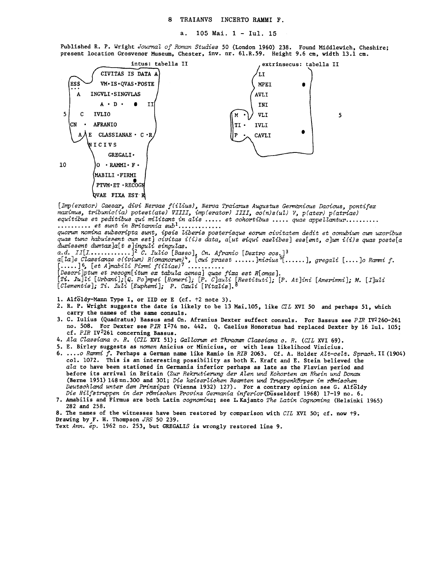Published R. P. Wright *Journal of Roman Studies* 50 (London 1960) 238. Found Middlewich, Cheshire; present location Grosvenor Museum, Chester, inv. nr. 61.R.59. Height 9.6 **cm,** width 13.1 cm.



- 2. R. P. Wright suggests the date is likely to be 13 Mai.105, like *CTL* XVI 50 and perhaps 51, which carry the names of the same consuls.<br>3. C. Iulius (Quadratus) Bassus and Cn. Afranius Dexter suffect consuls. For Bassus see  $PIR$  IV<sup>2</sup>260-261
- no. 508. For Dexter see *PIR* 1<sup>2</sup>74 no. 442. Q. Caelius Honoratus had replaced Dexter by 16 Iul. 105; cf. PIR IV<sup>2</sup>261 concerning Bassus.
- *4. Ala CZassiana c. R. (CIL* XVI 51); *GaZZom et Thranmr CZassiana c. R. (CIL* XVI 69).
- 5. E. Birley suggests as *nornen* Anicius or Minicius, or with less likelihood Vinicius.
- 6. ... *.o Ramni f.* Perhaps a German name like Ramio in *RIB* 2063. Cf . A. Holder *AZt-cezt. Sprach.* I1 (1904) col. 1072. This is an interesting possibility as both **K.** Kraft and E. Stein believed the *aZa* to have been stationed in Germania inferior perhaps as late as the Flavian period and before its arrival in Britain *(Zur Rekrutierung der AZen und Kohorten an Rhein und Dm*  (Berne 1951) 148nn.300 and 301; *Die kaiserlichen Beamten und WppenkLhper irn rtfmischen Deutschland unter dem Mnzipat* (Vienna 1932) 127). For a contrary opinion see G. Alfgldy *Die HiZfstruppen in der rtJmischen Provinz Cenania* inferior(Diisse1dorf 1968) 17-19 no. 6.
- 7. Amabilis and Firmus are both Latin *cognomina;* see I.Kajanto *The Latin Cognomina* (Helsinki 1965) 282 and 258.

8. The names of the witnesses have been restored by comparison with *CIL* XVI 50; cf. now **t9.** 

- Drawing by F. H. Thompson *JRS* 50 239.
- Text Ann. ép. 1962 no. 253, but GREGALIS is wrongly restored line 9.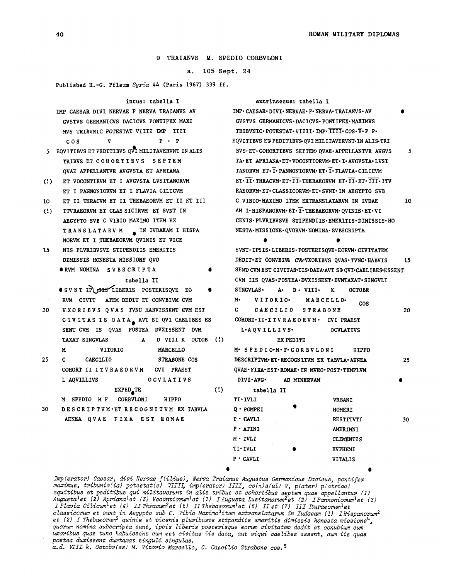9 TRAIANVS M. SPEDIO CORBVLONI

a. 105 **Sept.** 24

Published H.-G. Pflaum *Syria* 44 (Paris 1967) 339 ff.

|                        | intus: tabella I                                                                                | extrinsecus: tabella I                                            |    |
|------------------------|-------------------------------------------------------------------------------------------------|-------------------------------------------------------------------|----|
|                        | IMP CAESAR DIVI NERVAE F NERVA TRAIANVS AV                                                      | IMP · CAESAR · DIVI · NERVAE · F · NERVA · TRAIANVS · AV          |    |
|                        | GVSTVS GERMANICVS DACICVS PONTIFEX MAXI                                                         | GVSTVS GERMANICVS · DACICVS · PONTIFEX · MAXIMVS                  |    |
|                        | MVS TRIBVNIC POTESTAT VIIII IMP IIII                                                            | TRIBVNIC·POTESTAT·VIIII·IMP·IIII·COS·V·P P·                       |    |
|                        | $P \cdot P$<br>COS<br>v                                                                         | <b>EQVITIBVS ET PEDITIBVS QVI MILITAVERVNT IN ALIS TRI</b>        |    |
|                        | 5 EQVITIBVS ET PEDITIBVS QVI MILITAVERVNT IN ALIS                                               | BVS · ET · COHORTIBVS SEPTEM · QVAE · APPELLANTVR AVGVS           | 5  |
|                        | TRIBVS ET COHORTIBVS SEPTEM                                                                     | TA . ET APRIANA - ET · VOCONTIORVM - ET · I · AVGVSTA · LVSI      |    |
|                        | QVAE APPELLANTVR AVGVSTA ET APRIANA                                                             | TANORVM ET. I. PANNONIORVM. ET. I. FLAVIA. CILICVM                |    |
| $\langle$ !            | ET VOCONTIRVM ET I AVGVSTA LVSITANORVM                                                          | ET . II . THRACVM . ET . II . THEBAEORVM ET . II . ET . III . ITV |    |
|                        | ET I PANNONIORVM ET I FLAVIA CILICVM                                                            | RAEORVM-ET-CLASSICORVM-ET-SVNT-IN AEGYPTO SVB                     |    |
| 10                     | ET II THRACVM ET II THEBAEORVM ET II ET III                                                     | C VIBIO·MAXIMO ITEM EXTRANSLATARVM IN IVDAE                       | 10 |
| $\left( \cdot \right)$ | ITVRAEORVM ET CLAS SICIRVM ET SVNT IN                                                           | AM I.HISPANORVM.ET. T. THEBAEORVM.QVINIS.ET.VI                    |    |
|                        | AEGYPTO SVB C VIBIO MAXIMO ITEM EX                                                              | CENIS.PLVRIBVSVE STIPENDIIS.EMERITIS.DIMISSIS.HO                  |    |
|                        | TRANSLATARVM A IN IVDAEAM I HISPA                                                               | NESTA-MISSIONE-QVORVM-NOMINA-SVBSCRIPTA                           |    |
|                        | NORVM ET I THEBAEORVM QVINIS ET VICE                                                            | ●                                                                 |    |
| 15                     | NIS PLVRIBVSVE STIPENDIIS EMERITIS                                                              | SVNT · IPSIS · LIBERIS · POSTERISQVE · EORVM · CIVITATEM          |    |
|                        | DIMISSIS HONESTA MISSIONE QVO                                                                   | DEDIT-ET CONVBIVA CVA-VXORIBVS QVAS-TVNC-HABVIS                   | 15 |
|                        | ORVM NOMINA SVBSCRIPTA                                                                          | SENT CVM EST CIVITAS-IIS-DATA-AVT SEQVI-CAELIBES-ESSENT           |    |
|                        | tabella II                                                                                      | CVM IIS QVAS.POSTEA.DVXISSENT.DVMTAXAT.SINGVLI                    |    |
|                        | OSVNT IP SIS LIBERIS POSTERISQVE EO                                                             | <b>SINGVLAS.</b><br>A. D. VIII.<br>K<br><b>OCTOBR</b>             |    |
|                        | RVM CIVIT<br>ATEM DEDIT ET CONVBIVM CVM                                                         | м.<br>VITORIO.<br>MARCELLO.                                       |    |
| 20                     | VXORIBVS QVAS TVNC HABVISSENT CVM EST                                                           | <b>COS</b><br>C.<br>CAECILIO STRABONE                             | 20 |
|                        | CIVITAS IS DATA AVT SI QVI CAELIBES ES                                                          | COHORT. II. ITVRAEORVM. CVI PRAEST                                |    |
|                        | SENT CVM IS QVAS POSTEA DVXISSENT DVM                                                           | L-AQVILLIVS.<br><b>OCVLATIVS</b>                                  |    |
|                        | A D VIII K OCTOB (!)<br>TAXAT SINGVLAS                                                          | EX PEDITE                                                         |    |
|                        | M<br><b>VITORIO</b><br>MARCELLO                                                                 | M. SPEDIO-M. F. CORBVLONI<br><b>HIPPO</b>                         |    |
| 25                     | C.<br><b>CAECILIO</b><br>STRABONE COS                                                           | DESCRIPTVM ET RECOGNITVM EX TABVLA AENEA                          | 25 |
|                        | COHORT II ITVRAEORVM CVI PRAEST                                                                 | QVAE · FIXA · EST · ROMAE · IN MVRO · POST · TEMPLVM              |    |
|                        | <b>OCVLATIVS</b><br>L AQVILLIVS                                                                 | <b>DIVI</b> AVG .<br>AD MINERVAM                                  |    |
|                        | $\left( \begin{array}{c} 1 \\ 1 \end{array} \right)$<br>EXPED <sub>a</sub> TE                   | tabella II                                                        |    |
|                        | <b>CORBVLONI</b><br>M SPEDIO MF<br><b>HIPPO</b>                                                 | $\texttt{TI} \cdot \texttt{IVLI}$<br><b>VRBANI</b>                |    |
| 30                     | DESCRIPTVM ET RECOGNITVM EX TABVLA                                                              | $Q \cdot POMPEI$<br>HOMERI                                        |    |
|                        | AENEA QVAE FIXA EST ROMAE                                                                       | $P \cdot \text{CAVLI}$<br><b>RESTITVTI</b>                        | 30 |
|                        |                                                                                                 | $P \cdot ATINI$<br><b>AMERIMNI</b>                                |    |
|                        |                                                                                                 | $M \cdot IVLI$<br><b>CLEMENTIS</b>                                |    |
|                        |                                                                                                 | $\texttt{TI} \cdot \texttt{IVLI}$<br><b>EVPHEMI</b>               |    |
|                        |                                                                                                 | $P \cdot CAVLI$<br><b>VITALIS</b>                                 |    |
|                        |                                                                                                 |                                                                   |    |
|                        | Imp (erator) Caesar, divi Nervae f(ilius), Nerva Traianus Augustus Germanicus Dacicus, pontifer |                                                                   |    |

*muxius, tribuniclial potestat (e) VIIIJ imp (erator) IIII, co(n)s (ul) V, p(ater) p (atriael equitibus et peditibus qui miZitavemnt in alis tm'bus et cohortibus septem quae appellantur* (1) lugusta<sup>l</sup>et (2) Apriana<sup>l</sup>et (3) Vocontiorum<sup>l</sup>et (1) I Augusta Lusitanorum<sup>2</sup>et (2) I Pannoniorum<sup>l</sup>et (3)<br>I Flavia Cilicum<sup>l</sup>et (4) II Thracum<sup>2</sup>et (5) II Thebaeorum<sup>l</sup>et (6) II et (7) III Ituraeorum<sup>l</sup>et  $\iota$ Zassi*corum et sunt in Aegypto sub C. Vibio Maximo* $^3$ *item extranslatarum in Iudaeam (1) IHispanorum* $^2$ et (2) I Thebaeorum<sup>2</sup> quinis et vicenis pluribusve stipendiis emeritis dimissis honesta missione<sup>4</sup>,<br>quorum nomina subscripta sunt, ipsis liberis posterisque eorum civitatem dedit et conubium cum *quorwn nominu subscripts sunt, ipsis liberis posterisque eom civitatem dedit et conubiwn cum moribus quas tune habuissent cum est civitas iis data, aut siqui caelibes essent, cum iis quas postea duxissent dmtaxat singuli singulas.* 

a.d. VIII k. Octobr(es) M. Vitorio Marcello, C. Caecilio Strabone cos.<sup>5</sup>

<sup>40</sup>